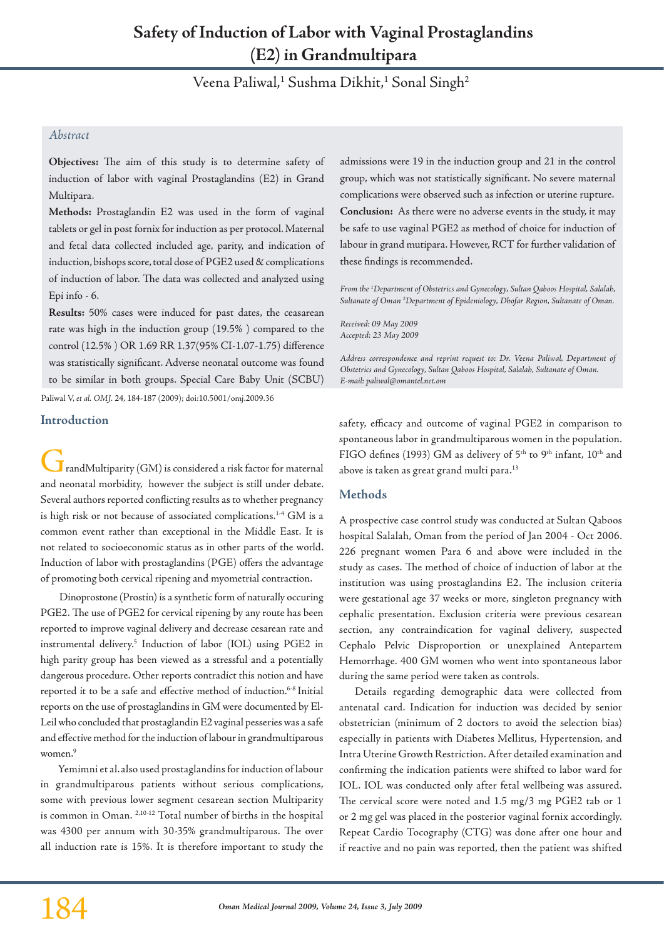# **Safety of Induction of Labor with Vaginal Prostaglandins (E2) in Grandmultipara**

Veena Paliwal,<sup>1</sup> Sushma Dikhit,<sup>1</sup> Sonal Singh<sup>2</sup>

# *Abstract*

**Objectives:** The aim of this study is to determine safety of induction of labor with vaginal Prostaglandins (E2) in Grand Multipara.

**Methods:** Prostaglandin E2 was used in the form of vaginal tablets or gel in post fornix for induction as per protocol. Maternal and fetal data collected included age, parity, and indication of induction, bishops score, total dose of PGE2 used & complications of induction of labor. The data was collected and analyzed using Epi info - 6.

**Results:** 50% cases were induced for past dates, the ceasarean rate was high in the induction group (19.5% ) compared to the control (12.5% ) OR 1.69 RR 1.37(95% CI-1.07-1.75) difference was statistically significant. Adverse neonatal outcome was found to be similar in both groups. Special Care Baby Unit (SCBU)

Paliwal V, *et al. OMJ.* 24, 184-187 (2009); doi:10.5001/omj.2009.36

# **Introduction**

 $\blacksquare$  randMultiparity (GM) is considered a risk factor for maternal and neonatal morbidity, however the subject is still under debate. Several authors reported conflicting results as to whether pregnancy is high risk or not because of associated complications.1-4 GM is a common event rather than exceptional in the Middle East. It is not related to socioeconomic status as in other parts of the world. Induction of labor with prostaglandins (PGE) offers the advantage of promoting both cervical ripening and myometrial contraction.

 Dinoprostone (Prostin) is a synthetic form of naturally occuring PGE2. The use of PGE2 for cervical ripening by any route has been reported to improve vaginal delivery and decrease cesarean rate and instrumental delivery.5 Induction of labor (IOL) using PGE2 in high parity group has been viewed as a stressful and a potentially dangerous procedure. Other reports contradict this notion and have reported it to be a safe and effective method of induction.6-8 Initial reports on the use of prostaglandins in GM were documented by El-Leil who concluded that prostaglandin E2 vaginal pesseries was a safe and effective method for the induction of labour in grandmultiparous women.<sup>9</sup>

 Yemimni et al.also used prostaglandins for induction of labour in grandmultiparous patients without serious complications, some with previous lower segment cesarean section Multiparity is common in Oman. 2,10-12 Total number of births in the hospital was 4300 per annum with 30-35% grandmultiparous. The over all induction rate is 15%. It is therefore important to study the admissions were 19 in the induction group and 21 in the control group, which was not statistically significant. No severe maternal complications were observed such as infection or uterine rupture. **Conclusion:** As there were no adverse events in the study, it may be safe to use vaginal PGE2 as method of choice for induction of labour in grand mutipara. However, RCT for further validation of these findings is recommended.

*From the 1 Department of Obstetrics and Gynecology, Sultan Qaboos Hospital, Salalah, Sultanate of Oman 2 Department of Epideniology, Dhofar Region, Sultanate of Oman.*

*Received: 09 May 2009 Accepted: 23 May 2009*

*Address correspondence and reprint request to: Dr. Veena Paliwal, Department of Obstetrics and Gynecology, Sultan Qaboos Hospital, Salalah, Sultanate of Oman. E-mail: paliwal@omantel.net.om*

safety, efficacy and outcome of vaginal PGE2 in comparison to spontaneous labor in grandmultiparous women in the population. FIGO defines (1993) GM as delivery of 5<sup>th</sup> to 9<sup>th</sup> infant, 10<sup>th</sup> and above is taken as great grand multi para.<sup>13</sup>

# **Methods**

A prospective case control study was conducted at Sultan Qaboos hospital Salalah, Oman from the period of Jan 2004 - Oct 2006. 226 pregnant women Para 6 and above were included in the study as cases. The method of choice of induction of labor at the institution was using prostaglandins E2. The inclusion criteria were gestational age 37 weeks or more, singleton pregnancy with cephalic presentation. Exclusion criteria were previous cesarean section, any contraindication for vaginal delivery, suspected Cephalo Pelvic Disproportion or unexplained Antepartem Hemorrhage. 400 GM women who went into spontaneous labor during the same period were taken as controls.

Details regarding demographic data were collected from antenatal card. Indication for induction was decided by senior obstetrician (minimum of 2 doctors to avoid the selection bias) especially in patients with Diabetes Mellitus, Hypertension, and Intra Uterine Growth Restriction. After detailed examination and confirming the indication patients were shifted to labor ward for IOL. IOL was conducted only after fetal wellbeing was assured. The cervical score were noted and 1.5 mg/3 mg PGE2 tab or 1 or 2 mg gel was placed in the posterior vaginal fornix accordingly. Repeat Cardio Tocography (CTG) was done after one hour and if reactive and no pain was reported, then the patient was shifted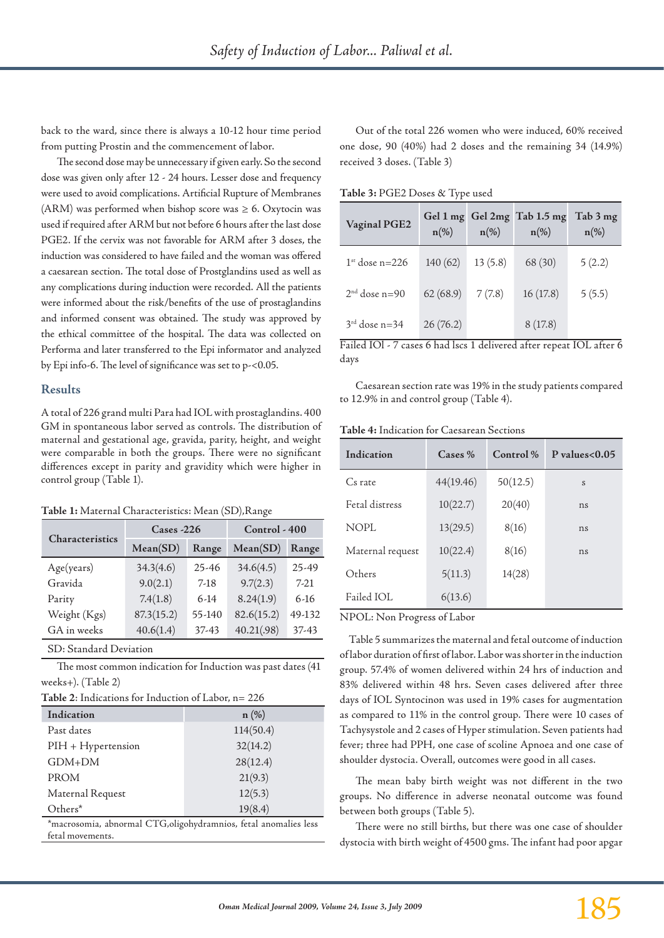back to the ward, since there is always a 10-12 hour time period from putting Prostin and the commencement of labor.

The second dose may be unnecessary if given early. So the second dose was given only after 12 - 24 hours. Lesser dose and frequency were used to avoid complications. Artificial Rupture of Membranes (ARM) was performed when bishop score was  $\geq 6$ . Oxytocin was used if required after ARM but not before 6 hours after the last dose PGE2. If the cervix was not favorable for ARM after 3 doses, the induction was considered to have failed and the woman was offered a caesarean section. The total dose of Prostglandins used as well as any complications during induction were recorded. All the patients were informed about the risk/benefits of the use of prostaglandins and informed consent was obtained. The study was approved by the ethical committee of the hospital. The data was collected on Performa and later transferred to the Epi informator and analyzed by Epi info-6. The level of significance was set to p-<0.05.

### **Results**

A total of 226 grand multi Para had IOL with prostaglandins. 400 GM in spontaneous labor served as controls. The distribution of maternal and gestational age, gravida, parity, height, and weight were comparable in both the groups. There were no significant differences except in parity and gravidity which were higher in control group (Table 1).

#### **Table 1:** Maternal Characteristics: Mean (SD),Range

| Characteristics | $\text{Case} \text{--} 226$ |           | Control - 400 |        |
|-----------------|-----------------------------|-----------|---------------|--------|
|                 | Mean(SD)                    | Range     | Mean(SD)      | Range  |
| Age(years)      | 34.3(4.6)                   | $25 - 46$ | 34.6(4.5)     | 25-49  |
| Gravida         | 9.0(2.1)                    | $7-18$    | 9.7(2.3)      | $7-21$ |
| Parity          | 7.4(1.8)                    | $6-14$    | 8.24(1.9)     | $6-16$ |
| Weight (Kgs)    | 87.3(15.2)                  | 55-140    | 82.6(15.2)    | 49-132 |
| GA in weeks     | 40.6(1.4)                   | 37-43     | 40.21(.98)    | 37-43  |

SD: Standard Deviation

The most common indication for Induction was past dates (41 weeks+). (Table 2)

**Table 2**: Indications for Induction of Labor, n= 226

| Indication                                                       | $n$ (%)   |  |
|------------------------------------------------------------------|-----------|--|
| Past dates                                                       | 114(50.4) |  |
| $PIH + Hypertension$                                             | 32(14.2)  |  |
| $GDM+DM$                                                         | 28(12.4)  |  |
| <b>PROM</b>                                                      | 21(9.3)   |  |
| Maternal Request                                                 | 12(5.3)   |  |
| Others*                                                          | 19(8.4)   |  |
| *macrosomia, abnormal CTG, oligohydramnios, fetal anomalies less |           |  |

fetal movements.

Out of the total 226 women who were induced, 60% received one dose, 90 (40%) had 2 doses and the remaining 34 (14.9%) received 3 doses. (Table 3)

**Table 3:** PGE2 Doses & Type used

| Vaginal PGE2     | $n(\%)$  | $n(\%)$ | Gel 1 mg Gel 2mg Tab 1.5 mg<br>$n(\%)$ | Tab 3 mg<br>$n(\%)$ |
|------------------|----------|---------|----------------------------------------|---------------------|
| $1st$ dose n=226 | 140(62)  | 13(5.8) | 68 (30)                                | 5(2.2)              |
| $2nd$ dose n=90  | 62(68.9) | 7(7.8)  | 16(17.8)                               | 5(5.5)              |
| $3rd$ dose n=34  | 26(76.2) |         | 8(17.8)                                |                     |

Failed IOl - 7 cases 6 had lscs 1 delivered after repeat IOL after 6 days

Caesarean section rate was 19% in the study patients compared to 12.9% in and control group (Table 4).

**Table 4:** Indication for Caesarean Sections

| Indication       | $\text{Case} \%$ | $Control\%$ | P values $< 0.05$ |
|------------------|------------------|-------------|-------------------|
| Cs rate          | 44(19.46)        | 50(12.5)    | S                 |
| Fetal distress   | 10(22.7)         | 20(40)      | ns                |
| NOPL             | 13(29.5)         | 8(16)       | ns                |
| Maternal request | 10(22.4)         | 8(16)       | ns                |
| Others           | 5(11.3)          | 14(28)      |                   |
| Failed IOL       | 6(13.6)          |             |                   |

NPOL: Non Progress of Labor

 Table 5 summarizes the maternal and fetal outcome of induction of labor duration of first of labor. Labor was shorter in the induction group. 57.4% of women delivered within 24 hrs of induction and 83% delivered within 48 hrs. Seven cases delivered after three days of IOL Syntocinon was used in 19% cases for augmentation as compared to 11% in the control group. There were 10 cases of Tachysystole and 2 cases of Hyper stimulation. Seven patients had fever; three had PPH, one case of scoline Apnoea and one case of shoulder dystocia. Overall, outcomes were good in all cases.

The mean baby birth weight was not different in the two groups. No difference in adverse neonatal outcome was found between both groups (Table 5).

There were no still births, but there was one case of shoulder dystocia with birth weight of 4500 gms. The infant had poor apgar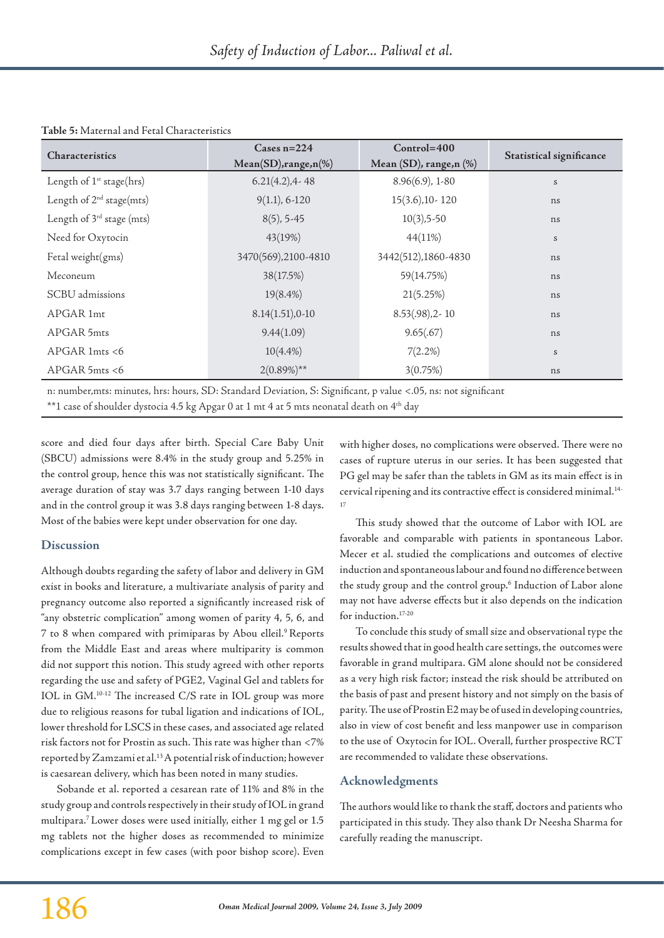| Table 5: Maternal and Fetal Characteristics |  |  |
|---------------------------------------------|--|--|
|---------------------------------------------|--|--|

| <b>Characteristics</b>                | Cases $n=224$            | $Control = 400$               |                          |  |
|---------------------------------------|--------------------------|-------------------------------|--------------------------|--|
|                                       | $Mean(SD), range, n(\%)$ | Mean $(SD)$ , range, n $(\%)$ | Statistical significance |  |
| Length of 1 <sup>st</sup> stage(hrs)  | $6.21(4.2)$ , 4 - 48     | $8.96(6.9)$ , 1-80            | $\boldsymbol{S}$         |  |
| Length of $2^{nd}$ stage(mts)         | $9(1.1), 6-120$          | $15(3.6)$ , 10 - 120          | ns                       |  |
| Length of 3 <sup>rd</sup> stage (mts) | $8(5)$ , 5-45            | $10(3), 5-50$                 | ns                       |  |
| Need for Oxytocin                     | 43(19%)                  | 44(11%)                       | S                        |  |
| Fetal weight(gms)                     | 3470(569), 2100-4810     | 3442(512), 1860-4830          | ns                       |  |
| Meconeum                              | 38(17.5%)                | 59(14.75%)                    | ns                       |  |
| SCBU admissions                       | 19(8.4%)                 | 21(5.25%)                     | ns                       |  |
| APGAR 1mt                             | $8.14(1.51)$ , 0-10      | $8.53(.98)$ , 2-10            | ns                       |  |
| APGAR 5mts                            | 9.44(1.09)               | 9.65(.67)                     | ns                       |  |
| $APGAR$ 1mts <6                       | $10(4.4\%)$              | $7(2.2\%)$                    | S                        |  |
| $APGAR$ 5mts <6                       | $2(0.89\%)^{**}$         | 3(0.75%)                      | ns                       |  |

n: number,mts: minutes, hrs: hours, SD: Standard Deviation, S: Significant, p value <.05, ns: not significant \*\*1 case of shoulder dystocia 4.5 kg Apgar 0 at 1 mt 4 at 5 mts neonatal death on 4th day

score and died four days after birth. Special Care Baby Unit (SBCU) admissions were 8.4% in the study group and 5.25% in the control group, hence this was not statistically significant. The average duration of stay was 3.7 days ranging between 1-10 days and in the control group it was 3.8 days ranging between 1-8 days. Most of the babies were kept under observation for one day.

# **Discussion**

Although doubts regarding the safety of labor and delivery in GM exist in books and literature, a multivariate analysis of parity and pregnancy outcome also reported a significantly increased risk of "any obstetric complication" among women of parity 4, 5, 6, and 7 to 8 when compared with primiparas by Abou elleil.9 Reports from the Middle East and areas where multiparity is common did not support this notion. This study agreed with other reports regarding the use and safety of PGE2, Vaginal Gel and tablets for IOL in GM.10-12 The increased C/S rate in IOL group was more due to religious reasons for tubal ligation and indications of IOL, lower threshold for LSCS in these cases, and associated age related risk factors not for Prostin as such. This rate was higher than <7% reported by Zamzami et al.13 A potential risk of induction; however is caesarean delivery, which has been noted in many studies.

Sobande et al. reported a cesarean rate of 11% and 8% in the study group and controls respectively in their study of IOL in grand multipara.7 Lower doses were used initially, either 1 mg gel or 1.5 mg tablets not the higher doses as recommended to minimize complications except in few cases (with poor bishop score). Even

with higher doses, no complications were observed. There were no cases of rupture uterus in our series. It has been suggested that PG gel may be safer than the tablets in GM as its main effect is in cervical ripening and its contractive effect is considered minimal.14- 17

This study showed that the outcome of Labor with IOL are favorable and comparable with patients in spontaneous Labor. Mecer et al. studied the complications and outcomes of elective induction and spontaneous labour and found no difference between the study group and the control group.<sup>6</sup> Induction of Labor alone may not have adverse effects but it also depends on the indication for induction.17-20

To conclude this study of small size and observational type the results showed that in good health care settings, the outcomes were favorable in grand multipara. GM alone should not be considered as a very high risk factor; instead the risk should be attributed on the basis of past and present history and not simply on the basis of parity. The use of Prostin E2 may be of used in developing countries, also in view of cost benefit and less manpower use in comparison to the use of Oxytocin for IOL. Overall, further prospective RCT are recommended to validate these observations.

# **Acknowledgments**

The authors would like to thank the staff, doctors and patients who participated in this study. They also thank Dr Neesha Sharma for carefully reading the manuscript.